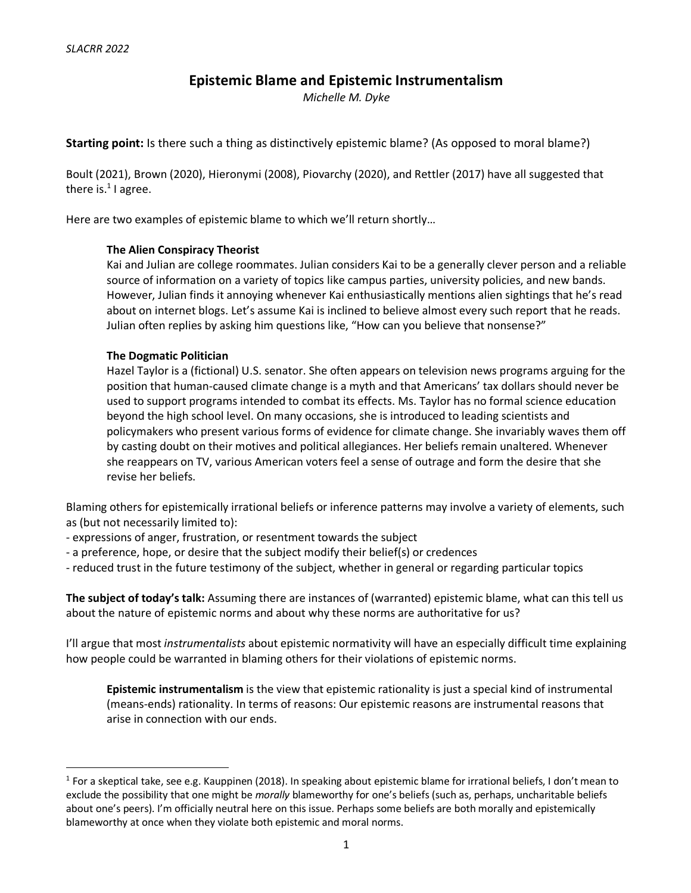# **Epistemic Blame and Epistemic Instrumentalism**

*Michelle M. Dyke*

**Starting point:** Is there such a thing as distinctively epistemic blame? (As opposed to moral blame?)

Boult (2021), Brown (2020), Hieronymi (2008), Piovarchy (2020), and Rettler (2017) have all suggested that there is. $1$  I agree.

Here are two examples of epistemic blame to which we'll return shortly…

#### **The Alien Conspiracy Theorist**

Kai and Julian are college roommates. Julian considers Kai to be a generally clever person and a reliable source of information on a variety of topics like campus parties, university policies, and new bands. However, Julian finds it annoying whenever Kai enthusiastically mentions alien sightings that he's read about on internet blogs. Let's assume Kai is inclined to believe almost every such report that he reads. Julian often replies by asking him questions like, "How can you believe that nonsense?"

#### **The Dogmatic Politician**

Hazel Taylor is a (fictional) U.S. senator. She often appears on television news programs arguing for the position that human-caused climate change is a myth and that Americans' tax dollars should never be used to support programs intended to combat its effects. Ms. Taylor has no formal science education beyond the high school level. On many occasions, she is introduced to leading scientists and policymakers who present various forms of evidence for climate change. She invariably waves them off by casting doubt on their motives and political allegiances. Her beliefs remain unaltered. Whenever she reappears on TV, various American voters feel a sense of outrage and form the desire that she revise her beliefs.

Blaming others for epistemically irrational beliefs or inference patterns may involve a variety of elements, such as (but not necessarily limited to):

- expressions of anger, frustration, or resentment towards the subject
- a preference, hope, or desire that the subject modify their belief(s) or credences
- reduced trust in the future testimony of the subject, whether in general or regarding particular topics

**The subject of today's talk:** Assuming there are instances of (warranted) epistemic blame, what can this tell us about the nature of epistemic norms and about why these norms are authoritative for us?

I'll argue that most *instrumentalists* about epistemic normativity will have an especially difficult time explaining how people could be warranted in blaming others for their violations of epistemic norms.

**Epistemic instrumentalism** is the view that epistemic rationality is just a special kind of instrumental (means-ends) rationality. In terms of reasons: Our epistemic reasons are instrumental reasons that arise in connection with our ends.

 $1$  For a skeptical take, see e.g. Kauppinen (2018). In speaking about epistemic blame for irrational beliefs, I don't mean to exclude the possibility that one might be *morally* blameworthy for one's beliefs (such as, perhaps, uncharitable beliefs about one's peers). I'm officially neutral here on this issue. Perhaps some beliefs are both morally and epistemically blameworthy at once when they violate both epistemic and moral norms.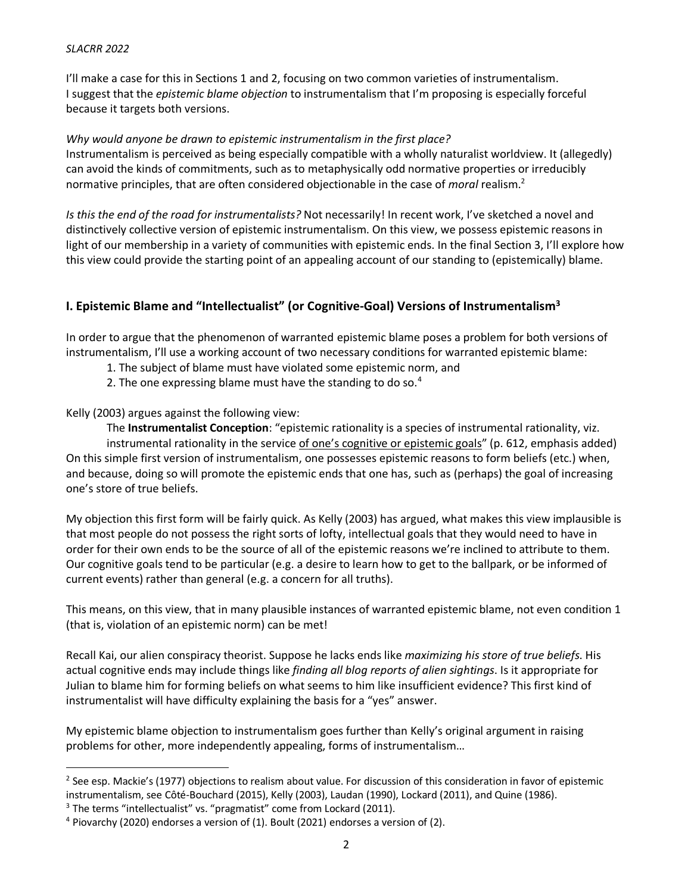#### *SLACRR 2022*

I'll make a case for this in Sections 1 and 2, focusing on two common varieties of instrumentalism. I suggest that the *epistemic blame objection* to instrumentalism that I'm proposing is especially forceful because it targets both versions.

#### *Why would anyone be drawn to epistemic instrumentalism in the first place?*

Instrumentalism is perceived as being especially compatible with a wholly naturalist worldview. It (allegedly) can avoid the kinds of commitments, such as to metaphysically odd normative properties or irreducibly normative principles, that are often considered objectionable in the case of *moral* realism.2

*Is this the end of the road for instrumentalists?* Not necessarily! In recent work, I've sketched a novel and distinctively collective version of epistemic instrumentalism. On this view, we possess epistemic reasons in light of our membership in a variety of communities with epistemic ends. In the final Section 3, I'll explore how this view could provide the starting point of an appealing account of our standing to (epistemically) blame.

## **I. Epistemic Blame and "Intellectualist" (or Cognitive-Goal) Versions of Instrumentalism3**

In order to argue that the phenomenon of warranted epistemic blame poses a problem for both versions of instrumentalism, I'll use a working account of two necessary conditions for warranted epistemic blame:

- 1. The subject of blame must have violated some epistemic norm, and
- 2. The one expressing blame must have the standing to do so.<sup>4</sup>

Kelly (2003) argues against the following view:

The **Instrumentalist Conception**: "epistemic rationality is a species of instrumental rationality, viz. instrumental rationality in the service of one's cognitive or epistemic goals" (p. 612, emphasis added) On this simple first version of instrumentalism, one possesses epistemic reasons to form beliefs (etc.) when, and because, doing so will promote the epistemic ends that one has, such as (perhaps) the goal of increasing one's store of true beliefs.

My objection this first form will be fairly quick. As Kelly (2003) has argued, what makes this view implausible is that most people do not possess the right sorts of lofty, intellectual goals that they would need to have in order for their own ends to be the source of all of the epistemic reasons we're inclined to attribute to them. Our cognitive goals tend to be particular (e.g. a desire to learn how to get to the ballpark, or be informed of current events) rather than general (e.g. a concern for all truths).

This means, on this view, that in many plausible instances of warranted epistemic blame, not even condition 1 (that is, violation of an epistemic norm) can be met!

Recall Kai, our alien conspiracy theorist. Suppose he lacks ends like *maximizing his store of true beliefs*. His actual cognitive ends may include things like *finding all blog reports of alien sightings*. Is it appropriate for Julian to blame him for forming beliefs on what seems to him like insufficient evidence? This first kind of instrumentalist will have difficulty explaining the basis for a "yes" answer.

My epistemic blame objection to instrumentalism goes further than Kelly's original argument in raising problems for other, more independently appealing, forms of instrumentalism…

<sup>&</sup>lt;sup>2</sup> See esp. Mackie's (1977) objections to realism about value. For discussion of this consideration in favor of epistemic instrumentalism, see Côté-Bouchard (2015), Kelly (2003), Laudan (1990), Lockard (2011), and Quine (1986).

<sup>&</sup>lt;sup>3</sup> The terms "intellectualist" vs. "pragmatist" come from Lockard (2011).

 $4$  Piovarchy (2020) endorses a version of (1). Boult (2021) endorses a version of (2).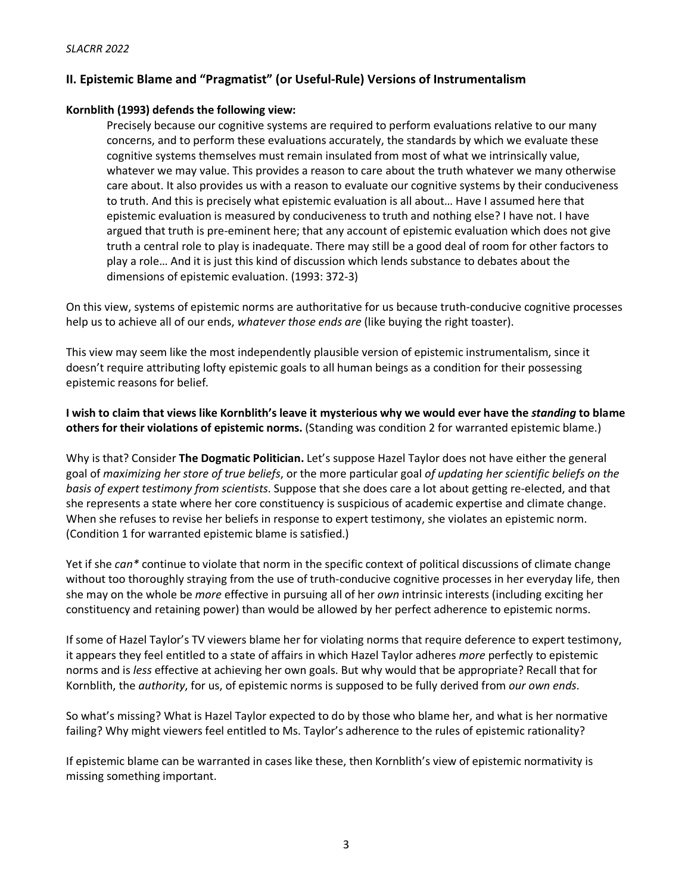## **II. Epistemic Blame and "Pragmatist" (or Useful-Rule) Versions of Instrumentalism**

#### **Kornblith (1993) defends the following view:**

Precisely because our cognitive systems are required to perform evaluations relative to our many concerns, and to perform these evaluations accurately, the standards by which we evaluate these cognitive systems themselves must remain insulated from most of what we intrinsically value, whatever we may value. This provides a reason to care about the truth whatever we many otherwise care about. It also provides us with a reason to evaluate our cognitive systems by their conduciveness to truth. And this is precisely what epistemic evaluation is all about… Have I assumed here that epistemic evaluation is measured by conduciveness to truth and nothing else? I have not. I have argued that truth is pre-eminent here; that any account of epistemic evaluation which does not give truth a central role to play is inadequate. There may still be a good deal of room for other factors to play a role… And it is just this kind of discussion which lends substance to debates about the dimensions of epistemic evaluation. (1993: 372-3)

On this view, systems of epistemic norms are authoritative for us because truth-conducive cognitive processes help us to achieve all of our ends, *whatever those ends are* (like buying the right toaster).

This view may seem like the most independently plausible version of epistemic instrumentalism, since it doesn't require attributing lofty epistemic goals to all human beings as a condition for their possessing epistemic reasons for belief.

**I wish to claim that views like Kornblith's leave it mysterious why we would ever have the** *standing* **to blame others for their violations of epistemic norms.** (Standing was condition 2 for warranted epistemic blame.)

Why is that? Consider **The Dogmatic Politician.** Let's suppose Hazel Taylor does not have either the general goal of *maximizing her store of true beliefs*, or the more particular goal *of updating her scientific beliefs on the basis of expert testimony from scientists*. Suppose that she does care a lot about getting re-elected, and that she represents a state where her core constituency is suspicious of academic expertise and climate change. When she refuses to revise her beliefs in response to expert testimony, she violates an epistemic norm. (Condition 1 for warranted epistemic blame is satisfied.)

Yet if she *can\** continue to violate that norm in the specific context of political discussions of climate change without too thoroughly straying from the use of truth-conducive cognitive processes in her everyday life, then she may on the whole be *more* effective in pursuing all of her *own* intrinsic interests (including exciting her constituency and retaining power) than would be allowed by her perfect adherence to epistemic norms.

If some of Hazel Taylor's TV viewers blame her for violating norms that require deference to expert testimony, it appears they feel entitled to a state of affairs in which Hazel Taylor adheres *more* perfectly to epistemic norms and is *less* effective at achieving her own goals. But why would that be appropriate? Recall that for Kornblith, the *authority*, for us, of epistemic norms is supposed to be fully derived from *our own ends*.

So what's missing? What is Hazel Taylor expected to do by those who blame her, and what is her normative failing? Why might viewers feel entitled to Ms. Taylor's adherence to the rules of epistemic rationality?

If epistemic blame can be warranted in cases like these, then Kornblith's view of epistemic normativity is missing something important.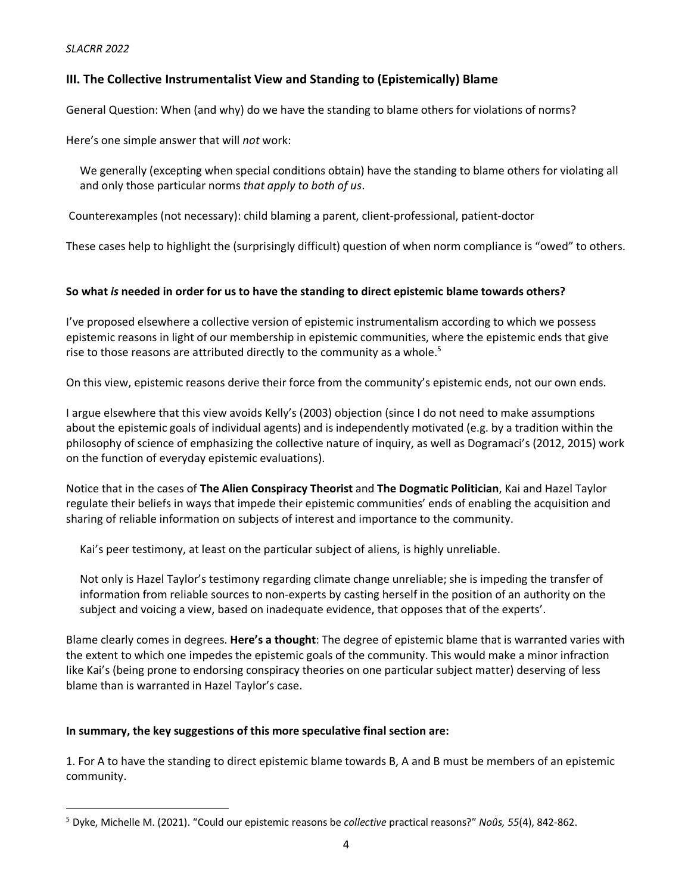## **III. The Collective Instrumentalist View and Standing to (Epistemically) Blame**

General Question: When (and why) do we have the standing to blame others for violations of norms?

Here's one simple answer that will *not* work:

 We generally (excepting when special conditions obtain) have the standing to blame others for violating all and only those particular norms *that apply to both of us*.

Counterexamples (not necessary): child blaming a parent, client-professional, patient-doctor

These cases help to highlight the (surprisingly difficult) question of when norm compliance is "owed" to others.

### **So what** *is* **needed in order for us to have the standing to direct epistemic blame towards others?**

I've proposed elsewhere a collective version of epistemic instrumentalism according to which we possess epistemic reasons in light of our membership in epistemic communities, where the epistemic ends that give rise to those reasons are attributed directly to the community as a whole. $5$ 

On this view, epistemic reasons derive their force from the community's epistemic ends, not our own ends.

I argue elsewhere that this view avoids Kelly's (2003) objection (since I do not need to make assumptions about the epistemic goals of individual agents) and is independently motivated (e.g. by a tradition within the philosophy of science of emphasizing the collective nature of inquiry, as well as Dogramaci's (2012, 2015) work on the function of everyday epistemic evaluations).

Notice that in the cases of **The Alien Conspiracy Theorist** and **The Dogmatic Politician**, Kai and Hazel Taylor regulate their beliefs in ways that impede their epistemic communities' ends of enabling the acquisition and sharing of reliable information on subjects of interest and importance to the community.

Kai's peer testimony, at least on the particular subject of aliens, is highly unreliable.

 Not only is Hazel Taylor's testimony regarding climate change unreliable; she is impeding the transfer of information from reliable sources to non-experts by casting herself in the position of an authority on the subject and voicing a view, based on inadequate evidence, that opposes that of the experts'.

Blame clearly comes in degrees. **Here's a thought**: The degree of epistemic blame that is warranted varies with the extent to which one impedes the epistemic goals of the community. This would make a minor infraction like Kai's (being prone to endorsing conspiracy theories on one particular subject matter) deserving of less blame than is warranted in Hazel Taylor's case.

#### **In summary, the key suggestions of this more speculative final section are:**

1. For A to have the standing to direct epistemic blame towards B, A and B must be members of an epistemic community.

 <sup>5</sup> Dyke, Michelle M. (2021). "Could our epistemic reasons be *collective* practical reasons?" *Noûs, <sup>55</sup>*(4), 842-862.